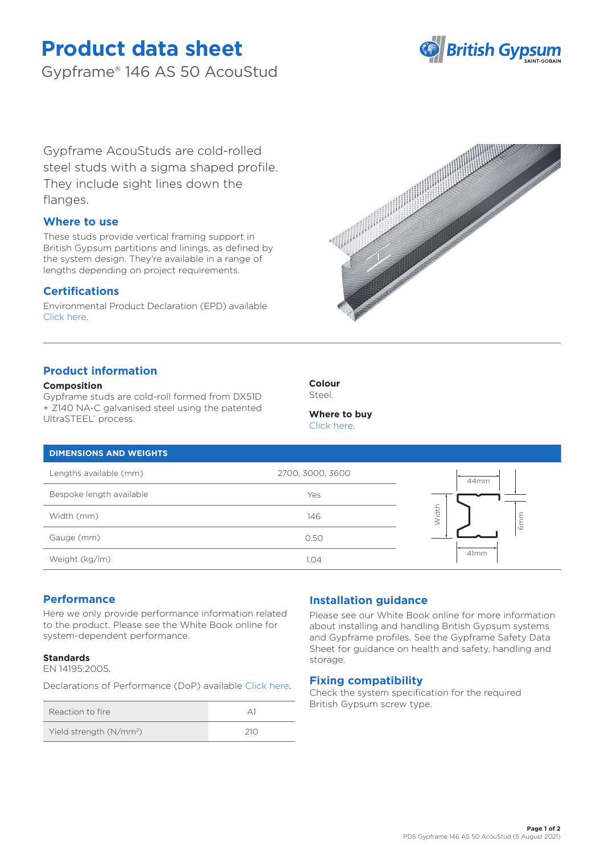# **Product data sheet**

Gypframe® 146 AS 50 AcouStud



Gypframe AcouStuds are cold-rolled steel studs with a sigma shaped profile. They include sight lines down the flanges.

# **Where to use**

These studs provide vertical framing support in British Gypsum partitions and linings, as defined by the system design. They're available in a range of lengths depending on project requirements.

# **Certifications**

Environmental Product Declaration (EPD) available [Click here.](https://www.british-gypsum.com/EPD)



# **Product information**

### **Composition**

Gypframe studs are cold-roll formed from DX51D + Z140 NA-C galvanised steel using the patented UltraSTEEL® process.



#### **Where to buy** [Click here.](https://www.british-gypsum.com/stockist-locator)

### **DIMENSIONS AND WEIGHTS**

| Lengths available (mm)   | 2700, 3000, 3600 | 44mm |
|--------------------------|------------------|------|
| Bespoke length available | Yes              |      |
| Width (mm)               | 146              | idth |
| Gauge (mm)               | 0.50             | Ğ    |
| Weight (kg/lm)           | 1.04             | 41mm |

# **Performance**

Here we only provide performance information related to the product. Please see the White Book online for system-dependent performance.

### **Standards**

EN 14195:2005.

Declarations of Performance (DoP) availabl[e Click here](https://www.british-gypsum.com/DoP).

| Reaction to fire                    |  |
|-------------------------------------|--|
| Yield strength (N/mm <sup>2</sup> ) |  |

# **Installation guidance**

Please see our White Book online for more information about installing and handling British Gypsum systems and Gypframe profiles. See the Gypframe Safety Data Sheet for guidance on health and safety, handling and storage.

## **Fixing compatibility**

Check the system specification for the required British Gypsum screw type.